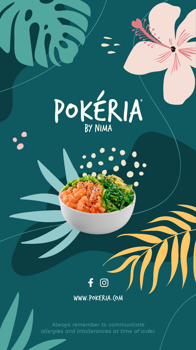



WWW.POKERIA.COM

*Always remember to communicate allergies and intollerances at time of order.*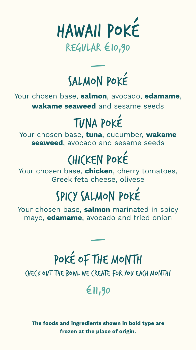

### — SALMON POKÉ

Your chosen base, salmon, avocado, edamame, wakame seaweed and sesame seeds

# TUNA POKÉ

Your chosen base, tuna, cucumber, wakame seaweed, avocado and sesame seeds

# CHICKEN POKÉ

Your chosen base, chicken, cherry tomatoes, Greek feta cheese, olivese

# SPICY SALMON POKÉ

Your chosen base, salmon marinated in spicy mayo, **edamame**, avocado and fried onion

# POKÉ OF THE MONTH

—

CHECK OUT THE BOWL WE CREATE FOR YOU EACH MONTH!

€11,90

The foods and ingredients shown in bold type are frozen at the place of origin.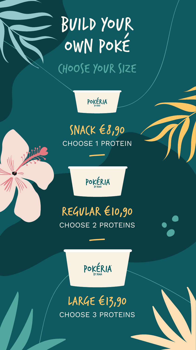# BUILD YOUR OWN POKÉ CHOOSE YOUR SIZE

POKÉRIA

#### $SNA(K \in \mathcal{S}, 90)$ CHOOSE 1 PROTEIN

—

VIII



#### REGULAR €10,90 CHOOSE 2 PROTEINS

—



#### LARGE €13,90 CHOOSE 3 PROTEINS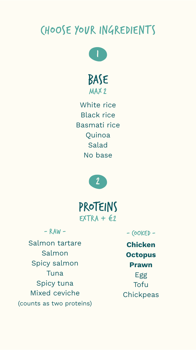#### CHOOSE YOUR INGREDIENTS



BASE MAX 2

White rice Black rice Basmati rice Quinoa Salad No base



PROTEINS  $EXTRA + 62$ 

 $-RAW -$ 

Salmon tartare Salmon Spicy salmon Tuna Spicy tuna Mixed ceviche (counts as two proteins)

 $-$  (OOKED  $-$ Chicken **Octopus** Prawn Egg Tofu **Chickpeas**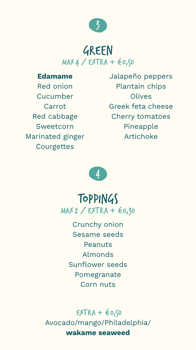

#### GREEN MAX 4 / EXTRA + €0,50

Edamame

Red onion Cucumber Carrot Red cabbage Sweetcorn Marinated ginger **Courgettes** 

Jalapeño peppers Plantain chips **Olives** Greek feta cheese Cherry tomatoes Pineapple Artichoke



#### TOPPINGS MAX 2 / EXTRA + €0,30

Crunchy onion Sesame seeds Peanuts Almonds Sunflower seeds Pomegranate Corn nuts

 $EXTRA +  $\epsilon$ 0.50$ Avocado/mango/Philadelphia/ wakame seaweed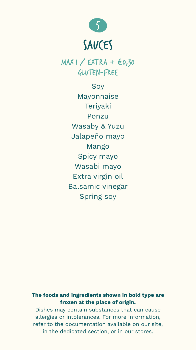

MAX 1 / EXTRA + €0,30 GLUTEN-FREE

> Soy Mayonnaise **Terivaki** Ponzu Wasaby & Yuzu Jalapeño mayo Mango Spicy mayo Wasabi mayo Extra virgin oil Balsamic vinegar Spring soy

#### The foods and ingredients shown in bold type are frozen at the place of origin.

Dishes may contain substances that can cause allergies or intolerances. For more information, refer to the documentation available on our site, in the dedicated section, or in our stores.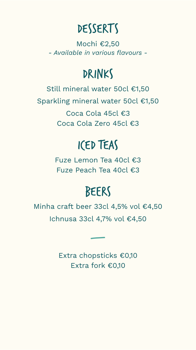### DESSERTS

Mochi €2,50 *- Available in various flavours -*

#### DRINKS

Still mineral water 50cl €1,50 Sparkling mineral water 50cl €1,50 Coca Cola 45cl €3

Coca Cola Zero 45cl €3

#### ICED TEAS

Fuze Lemon Tea 40cl €3 Fuze Peach Tea 40cl €3

### BEERS

Minha craft beer 33cl 4,5% vol €4,50 Ichnusa 33cl 4,7% vol €4,50

> Extra chopsticks €0,10 Extra fork €0,10

—